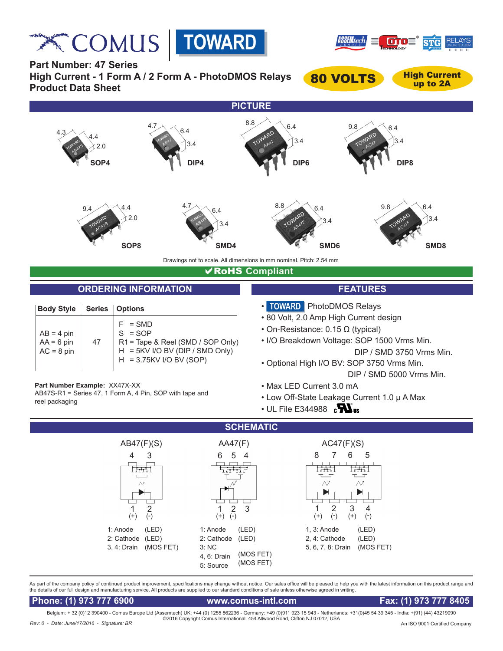**Relation COMUS** | TOWARD





**Part Number: 47 Series High Current - 1 Form A / 2 Form A - PhotoDMOS Relays Product Data Sheet**

80 VOLTS High Current

up to 2A



# **VRoHS Compliant**

# **ORDERING INFORMATION FEATURES**

| <b>Body Style</b>                            |    | Series   Options                                                                                                           |
|----------------------------------------------|----|----------------------------------------------------------------------------------------------------------------------------|
| $AB = 4$ pin<br>$AA = 6$ pin<br>$AC = 8$ pin | 47 | $=$ SMD<br>$S = SOP$<br>R1 = Tape & Reel (SMD / SOP Only)<br>H = 5KV I/O BV (DIP / SMD Only)<br>$H = 3.75$ KV I/O BV (SOP) |

AB47S-R1 = Series 47, 1 Form A, 4 Pin, SOP with tape and

- **TOWARD** PhotoDMOS Relays
- 80 Volt, 2.0 Amp High Current design
- On-Resistance: 0.15 Ω (typical)
- I/O Breakdown Voltage: SOP 1500 Vrms Min. DIP / SMD 3750 Vrms Min.
- Optional High I/O BV: SOP 3750 Vrms Min. DIP / SMD 5000 Vrms Min.
- Max LED Current 3.0 mA
- Low Off-State Leakage Current 1.0 μ A Max
- $\cdot$  UL File E344988  $\,$   $\rm s\,$



As part of the company policy of continued product improvement, specifications may change without notice. Our sales office will be pleased to help you with the latest information on this product range and the details of our full design and manufacturing service. All products are supplied to our standard conditions of sale unless otherwise agreed in writing.

 **Phone: (1) 973 777 6900 www.comus-intl.com Fax: (1) 973 777 8405**

**Part Number Example:** XX47X-XX

reel packaging

Belgium: + 32 (0)12 390400 - Comus Europe Ltd (Assemtech) UK: +44 (0) 1255 862236 - Germany: +49 (0)911 923 15 943 - Netherlands: +31(0)45 54 39 345 - India: +(91) (44) 43219090 ©2016 Copyright Comus International, 454 Allwood Road, Clifton NJ 07012, USA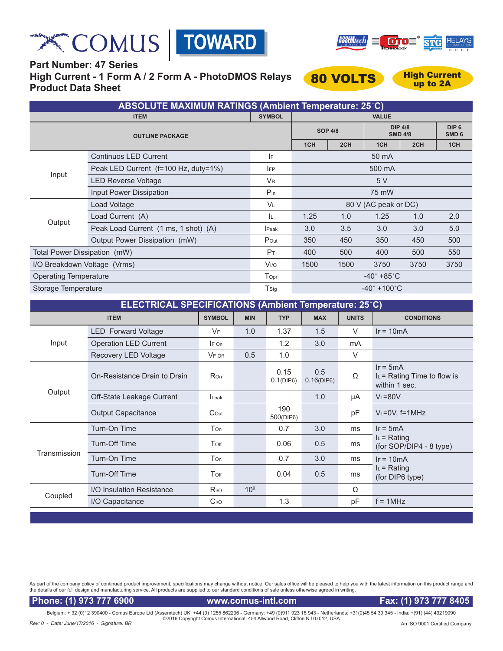





**Part Number: 47 Series High Current - 1 Form A / 2 Form A - PhotoDMOS Relays Product Data Sheet**



up to 2A

| <b>ABSOLUTE MAXIMUM RATINGS (Ambient Temperature: 25°C)</b> |                                      |                             |                                 |      |                                  |      |                                      |  |
|-------------------------------------------------------------|--------------------------------------|-----------------------------|---------------------------------|------|----------------------------------|------|--------------------------------------|--|
| <b>ITEM</b>                                                 |                                      | <b>SYMBOL</b>               | <b>VALUE</b>                    |      |                                  |      |                                      |  |
| <b>OUTLINE PACKAGE</b>                                      |                                      |                             | <b>SOP 4/8</b>                  |      | <b>DIP 4/8</b><br><b>SMD 4/8</b> |      | DIP <sub>6</sub><br>SMD <sub>6</sub> |  |
|                                                             |                                      |                             | 1CH                             | 2CH  | 1CH                              | 2CH  | 1CH                                  |  |
|                                                             | <b>Continuos LED Current</b>         | IF                          | 50 mA                           |      |                                  |      |                                      |  |
| Input                                                       | Peak LED Current (f=100 Hz, duty=1%) | <b>IFP</b>                  | 500 mA                          |      |                                  |      |                                      |  |
|                                                             | <b>LED Reverse Voltage</b>           | <b>V<sub>R</sub></b>        | 5 V                             |      |                                  |      |                                      |  |
|                                                             | Input Power Dissipation              | $P_{In}$                    | 75 mW                           |      |                                  |      |                                      |  |
| Output                                                      | Load Voltage                         | <b>VL</b>                   | 80 V (AC peak or DC)            |      |                                  |      |                                      |  |
|                                                             | Load Current (A)                     | ΙL.                         | 1.25                            | 1.0  | 1.25                             | 1.0  | 2.0                                  |  |
|                                                             | Peak Load Current (1 ms, 1 shot) (A) | <b>I</b> Peak               | 3.0                             | 3.5  | 3.0                              | 3.0  | 5.0                                  |  |
|                                                             | Output Power Dissipation (mW)        | Pout                        | 350                             | 450  | 350                              | 450  | 500                                  |  |
| Total Power Dissipation (mW)                                |                                      | P <sub>T</sub>              | 400                             | 500  | 400                              | 500  | 550                                  |  |
|                                                             | I/O Breakdown Voltage (Vrms)         |                             | 1500                            | 1500 | 3750                             | 3750 | 3750                                 |  |
| <b>Operating Temperature</b>                                |                                      | $\mathsf{T}_{\mathsf{Opt}}$ | $-40^{\circ}$ +85 $^{\circ}$ C  |      |                                  |      |                                      |  |
| Storage Temperature                                         |                                      | T <sub>Stg</sub>            | $-40^{\circ}$ +100 $^{\circ}$ C |      |                                  |      |                                      |  |

| ELECTRICAL SPECIFICATIONS (Ambient Temperature: 25°C) |                              |                  |                 |                      |                   |              |                                                               |  |
|-------------------------------------------------------|------------------------------|------------------|-----------------|----------------------|-------------------|--------------|---------------------------------------------------------------|--|
| <b>ITEM</b>                                           |                              | <b>SYMBOL</b>    | <b>MIN</b>      | <b>TYP</b>           | <b>MAX</b>        | <b>UNITS</b> | <b>CONDITIONS</b>                                             |  |
| Input                                                 | <b>LED</b> Forward Voltage   | <b>VF</b>        | 1.0             | 1.37                 | 1.5               | $\vee$       | $F = 10mA$                                                    |  |
|                                                       | <b>Operation LED Current</b> | $IF$ On          |                 | 1.2                  | 3.0               | mA           |                                                               |  |
|                                                       | Recovery LED Voltage         | $V_F$ off        | 0.5             | 1.0                  |                   | $\vee$       |                                                               |  |
| Output                                                | On-Resistance Drain to Drain | <b>Ron</b>       |                 | 0.15<br>$0.1$ (DIP6) | 0.5<br>0.16(DIP6) | Ω            | $IF = 5mA$<br>$I_L$ = Rating Time to flow is<br>within 1 sec. |  |
|                                                       | Off-State Leakage Current    | <b>Leak</b>      |                 |                      | 1.0               | μA           | $V_L = 80V$                                                   |  |
|                                                       | <b>Output Capacitance</b>    | $\mathsf{C}$ Out |                 | 190<br>500(DIP6)     |                   | рF           | $V_L = 0V$ , f=1MHz                                           |  |
| Transmission                                          | Turn-On Time                 | Ton              |                 | 0.7                  | 3.0               | ms           | $IF = 5mA$                                                    |  |
|                                                       | Turn-Off Time                | Toff             |                 | 0.06                 | 0.5               | ms           | $I_L$ = Rating<br>(for SOP/DIP4 - 8 type)                     |  |
|                                                       | Turn-On Time                 | Ton              |                 | 0.7                  | 3.0               | ms           | $I_F = 10mA$                                                  |  |
|                                                       | Turn-Off Time                | Toff             |                 | 0.04                 | 0.5               | ms           | $I_L$ = Rating<br>(for DIP6 type)                             |  |
| Coupled                                               | I/O Insulation Resistance    | R <sub>I/O</sub> | 10 <sup>9</sup> |                      |                   | Ω            |                                                               |  |
|                                                       | I/O Capacitance              | C <sub>I/O</sub> |                 | 1.3                  |                   | рF           | $f = 1$ MHz                                                   |  |
|                                                       |                              |                  |                 |                      |                   |              |                                                               |  |

As part of the company policy of continued product improvement, specifications may change without notice. Our sales office will be pleased to help you with the latest information on this product range and the details of our full design and manufacturing service. All products are supplied to our standard conditions of sale unless otherwise agreed in writing.

 **Phone: (1) 973 777 6900 www.comus-intl.com Fax: (1) 973 777 8405** 

Belgium: + 32 (0)12 390400 - Comus Europe Ltd (Assemtech) UK: +44 (0) 1255 862236 - Germany: +49 (0)911 923 15 943 - Netherlands: +31(0)45 54 39 345 - India: +(91) (44) 43219090<br>©2016 Copyright Comus International, 454 All